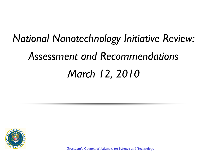# *National Nanotechnology Initiative Review: Assessment and Recommendations March 12, 2010*



**President's Council of Advisors for Science and Technology**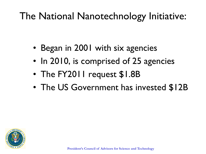### The National Nanotechnology Initiative:

- Began in 2001 with six agencies
- In 2010, is comprised of 25 agencies
- The FY2011 request \$1.8B
- The US Government has invested \$12B

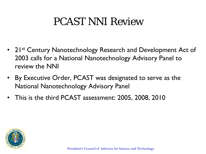### PCAST NNI Review

- 21<sup>st</sup> Century Nanotechnology Research and Development Act of 2003 calls for a National Nanotechnology Advisory Panel to review the NNI
- By Executive Order, PCAST was designated to serve as the National Nanotechnology Advisory Panel
- This is the third PCAST assessment: 2005, 2008, 2010

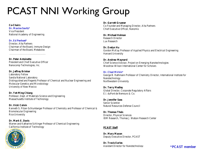### PCAST NNI Working Group

#### **Co-Chairs**

**Dr. Maxine Savitz\*** Vice President National Academy of Engineering

#### **Dr. Ed Penhoet\***

Director, Alta Partners Chairman of the Board, Immune Design Chairman of the Board, Metabolex

**Dr. Peter Antoinette** President and Chief Executive Officer Nanocomp Technologies, Inc.

\_\_\_\_\_\_\_\_\_\_\_\_\_\_\_\_\_\_\_\_\_\_\_\_\_\_\_\_

#### **Dr. Jeffrey Brinker**

Laboratory Fellow Sandia National Laboratory Distinguished and Regents Professor of Chemical and Nuclear Engineering and Molecular Genetics and Microbiology University of New Mexico

**Dr. Yet-Ming Chiang** Professor, Dept. of Materials Science and Engineering Massachusetts Institute of Technology

**Dr. Vicki Colvin**

Kenneth S. Pitzer-Schlumberger Professor of Chemistry and Professor of Chemical & Biomolecular Engineering Rice University

#### **Dr. Mark E. Davis**

Warren and Katharine Schlinger Professor of Chemical Engineering California Institute of Technology



**Dr. Garrett Gruener** Co-Founder and Managing Director, Alta Partners Chief Executive Officer, Nanomix

**Dr. Michael Holman** Research Director Lux Research

**Dr. Evelyn Hu** Gordon McKay Professor of Applied Physics and Electrical Engineering Harvard University

#### **Dr. Andrew Maynard** Chief Science Advisor, Project on Emerging Nanotechnologies Woodrow Wilson International Center for Scholars

#### **Dr. Chad Mirkin\***

George B. Rathmann Professor of Chemistry Director, International Institute for Nanotechnology Northwestern University

**Dr. Terry Medley** Global Director, Corporate Regulatory Affairs E.I. duPont de Nemours & Co.

**Dr. Jennifer Sass** Senior Scientist Natural Resources Defense Council

**Dr. Thomas Theis** Director, Physical Sciences IBM Research, Thomas J. Watson Research Center

#### **PCAST Staff**

**Dr. Mary Maxon** Deputy Executive Director, PCAST

**Dr. Travis Earles** Assistant Director for Nanotechnology **\*PCAST member**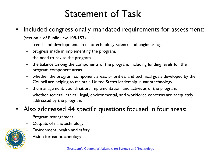### Statement of Task

• Included congressionally-mandated requirements for assessment:

(section 4 of Public Law 108-153)

- trends and developments in nanotechnology science and engineering.
- progress made in implementing the program.
- the need to revise the program.
- the balance among the components of the program, including funding levels for the program component areas.
- whether the program component areas, priorities, and technical goals developed by the Council are helping to maintain United States leadership in nanotechnology.
- the management, coordination, implementation, and activities of the program.
- whether societal, ethical, legal, environmental, and workforce concerns are adequately addressed by the program.
- Also addressed 44 specific questions focused in four areas:
	- Program management
	- Outputs of nanotechnology
	- Environment, health and safety
		- Vision for nanotechnology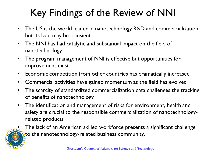## Key Findings of the Review of NNI

- The US is the world leader in nanotechnology R&D and commercialization, but its lead may be transient
- The NNI has had catalytic and substantial impact on the field of nanotechnology
- The program management of NNI is effective but opportunities for improvement exist
- Economic competition from other countries has dramatically increased
- Commercial activities have gained momentum as the field has evolved
- The scarcity of standardized commercialization data challenges the tracking of benefits of nanotechnology
- The identification and management of risks for environment, health and safety are crucial to the responsible commercialization of nanotechnologyrelated products



• The lack of an American skilled workforce presents a significant challenge to the nanotechnology-related business community.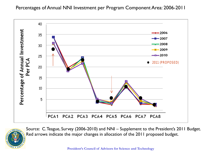### Percentages of Annual NNI Investment per Program Component Area: 2006-2011





Source: C. Teague, Survey (2006-2010) and NNI – Supplement to the President's 2011 Budget. Red arrows indicate the major changes in allocation of the 2011 proposed budget.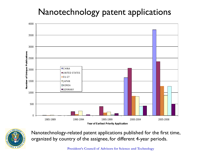### Nanotechnology patent applications





Nanotechnology-related patent applications published for the first time, organized by country of the assignee, for different 4-year periods.

**President's Council of Advisors for Science and Technology**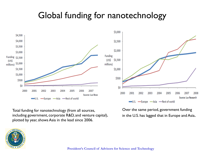### Global funding for nanotechnology



Total funding for nanotechnology (from all sources, including government, corporate R&D, and venture capital), plotted by year, shows Asia in the lead since 2006.

Over the same period, government funding in the U.S. has lagged that in Europe and Asia.



**President's Council of Advisors for Science and Technology**